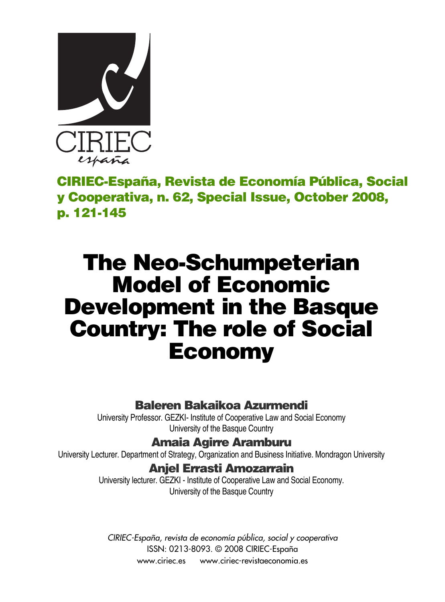

**CIRIEC-España, Revista de Economía Pública, Social y Cooperativa, n. 62, Special Issue, October 2008, p. 121-145**

# **The Neo-Schumpeterian Model of Economic Development in the Basque Country: The role of Social Economy**

### **Baleren Bakaikoa Azurmendi**

University Professor. GEZKI- Institute of Cooperative Law and Social Economy University of the Basque Country

### **Amaia Agirre Aramburu**

University Lecturer. Department of Strategy, Organization and Business Initiative. Mondragon University

### **Anjel Errasti Amozarrain**

University lecturer. GEZKI - Institute of Cooperative Law and Social Economy. University of the Basque Country

*CIRIEC-España, revista de economía pública, social y cooperativa* ISSN: 0213-8093. © 2008 CIRIEC-España www.ciriec.es www.ciriec-revistaeconomia.es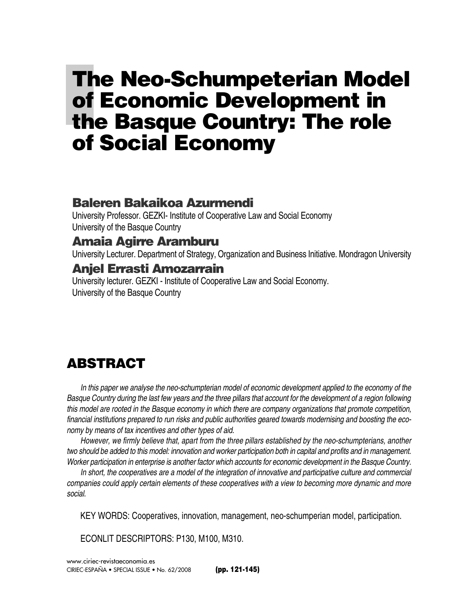# **The Neo-Schumpeterian Model of Economic Development in the Basque Country: The role of Social Economy**

### **Baleren Bakaikoa Azurmendi**

University Professor. GEZKI- Institute of Cooperative Law and Social Economy University of the Basque Country

### **Amaia Agirre Aramburu**

University Lecturer. Department of Strategy, Organization and Business Initiative. Mondragon University

### **Anjel Errasti Amozarrain**

University lecturer. GEZKI - Institute of Cooperative Law and Social Economy. University of the Basque Country

# **ABSTRACT**

*In this paper we analyse the neo-schumpterian model of economic development applied to the economy of the Basque Country during the last few years and the three pillars that account for the development of a region following this model are rooted in the Basque economy in which there are company organizations that promote competition, financial institutions prepared to run risks and public authorities geared towards modernising and boosting the economy by means of tax incentives and other types of aid.* 

*However, we firmly believe that, apart from the three pillars established by the neo-schumpterians, another two should be added to this model: innovation and worker participation both in capital and profits and in management. Worker participation in enterprise is another factor which accounts for economic development in the Basque Country.* 

*In short, the cooperatives are a model of the integration of innovative and participative culture and commercial companies could apply certain elements of these cooperatives with a view to becoming more dynamic and more social.* 

KEY WORDS: Cooperatives, innovation, management, neo-schumperian model, participation.

ECONLIT DESCRIPTORS: P130, M100, M310.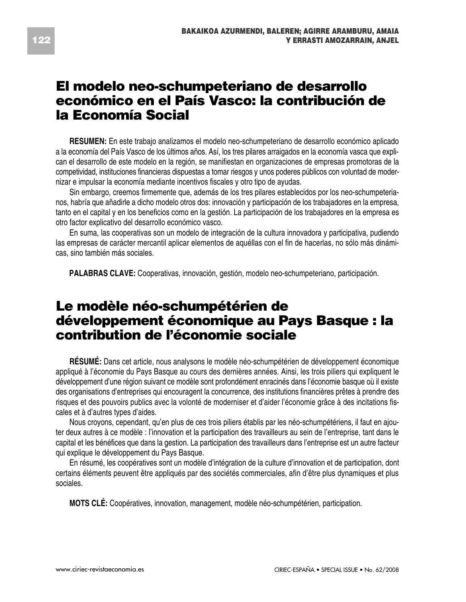### **El modelo neo-schumpeteriano de desarrollo económico en el País Vasco: la contribución de la Economía Social**

**RESUMEN:** En este trabajo analizamos el modelo neo-schumpeteriano de desarrollo económico aplicado a la economía del País Vasco de los últimos años. Así, los tres pilares arraigados en la economía vasca que explican el desarrollo de este modelo en la región, se manifiestan en organizaciones de empresas promotoras de la competividad, instituciones financieras dispuestas a tomar riesgos y unos poderes públicos con voluntad de modernizar e impulsar la economía mediante incentivos fiscales y otro tipo de ayudas.

Sin embargo, creemos firmemente que, además de los tres pilares establecidos por los neo-schumpeterianos, habría que añadirle a dicho modelo otros dos: innovación y participación de los trabajadores en la empresa, tanto en el capital y en los beneficios como en la gestión. La participación de los trabajadores en la empresa es otro factor explicativo del desarrollo económico vasco.

En suma, las cooperativas son un modelo de integración de la cultura innovadora y participativa, pudiendo las empresas de carácter mercantil aplicar elementos de aquéllas con el fin de hacerlas, no sólo más dinámicas, sino también más sociales.

**PALABRAS CLAVE:** Cooperativas, innovación, gestión, modelo neo-schumpeteriano, participación.

## **Le modèle néo-schumpétérien de développement économique au Pays Basque : la contribution de l'économie sociale**

**RÉSUMÉ:** Dans cet article, nous analysons le modèle néo-schumpétérien de développement économique appliqué à l'économie du Pays Basque au cours des dernières années. Ainsi, les trois piliers qui expliquent le développement d'une région suivant ce modèle sont profondément enracinés dans l'économie basque où il existe des organisations d'entreprises qui encouragent la concurrence, des institutions financières prêtes à prendre des risques et des pouvoirs publics avec la volonté de moderniser et d'aider l'économie grâce à des incitations fiscales et à d'autres types d'aides.

Nous croyons, cependant, qu'en plus de ces trois piliers établis par les néo-schumpétériens, il faut en ajouter deux autres à ce modèle : l'innovation et la participation des travailleurs au sein de l'entreprise, tant dans le capital et les bénéfices que dans la gestion. La participation des travailleurs dans l'entreprise est un autre facteur qui explique le développement du Pays Basque.

En résumé, les coopératives sont un modèle d'intégration de la culture d'innovation et de participation, dont certains éléments peuvent être appliqués par des sociétés commerciales, afin d'être plus dynamiques et plus sociales.

**MOTS CLÉ:** Coopératives, innovation, management, modèle néo-schumpétérien, participation.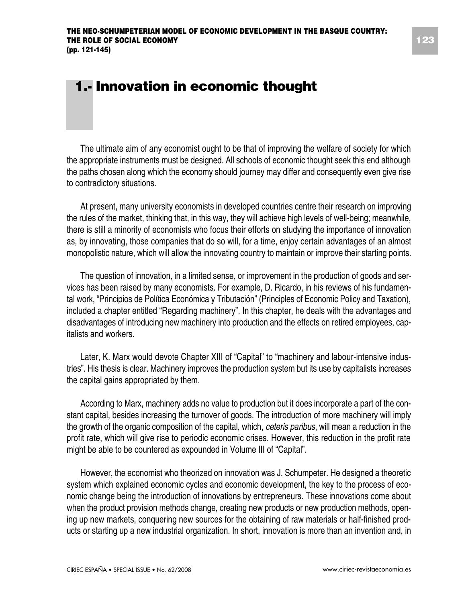# **1.- Innovation in economic thought**

The ultimate aim of any economist ought to be that of improving the welfare of society for which the appropriate instruments must be designed. All schools of economic thought seek this end although the paths chosen along which the economy should journey may differ and consequently even give rise to contradictory situations.

At present, many university economists in developed countries centre their research on improving the rules of the market, thinking that, in this way, they will achieve high levels of well-being; meanwhile, there is still a minority of economists who focus their efforts on studying the importance of innovation as, by innovating, those companies that do so will, for a time, enjoy certain advantages of an almost monopolistic nature, which will allow the innovating country to maintain or improve their starting points.

The question of innovation, in a limited sense, or improvement in the production of goods and services has been raised by many economists. For example, D. Ricardo, in his reviews of his fundamental work, "Principios de Política Económica y Tributación" (Principles of Economic Policy and Taxation), included a chapter entitled "Regarding machinery". In this chapter, he deals with the advantages and disadvantages of introducing new machinery into production and the effects on retired employees, capitalists and workers.

Later, K. Marx would devote Chapter XIII of "Capital" to "machinery and labour-intensive industries". His thesis is clear. Machinery improves the production system but its use by capitalists increases the capital gains appropriated by them.

According to Marx, machinery adds no value to production but it does incorporate a part of the constant capital, besides increasing the turnover of goods. The introduction of more machinery will imply the growth of the organic composition of the capital, which, *ceteris paribus*, will mean a reduction in the profit rate, which will give rise to periodic economic crises. However, this reduction in the profit rate might be able to be countered as expounded in Volume III of "Capital".

However, the economist who theorized on innovation was J. Schumpeter. He designed a theoretic system which explained economic cycles and economic development, the key to the process of economic change being the introduction of innovations by entrepreneurs. These innovations come about when the product provision methods change, creating new products or new production methods, opening up new markets, conquering new sources for the obtaining of raw materials or half-finished products or starting up a new industrial organization. In short, innovation is more than an invention and, in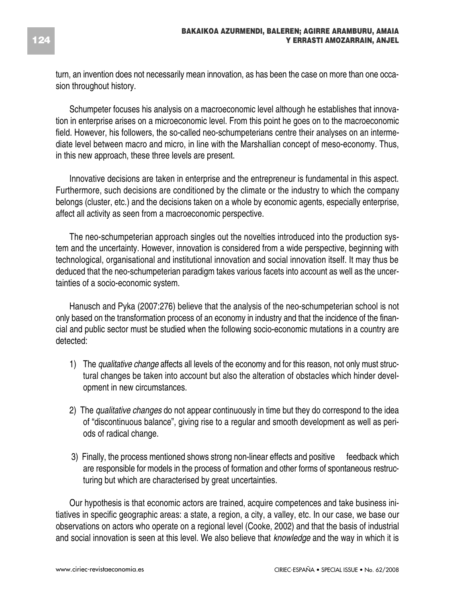turn, an invention does not necessarily mean innovation, as has been the case on more than one occasion throughout history.

Schumpeter focuses his analysis on a macroeconomic level although he establishes that innovation in enterprise arises on a microeconomic level. From this point he goes on to the macroeconomic field. However, his followers, the so-called neo-schumpeterians centre their analyses on an intermediate level between macro and micro, in line with the Marshallian concept of meso-economy. Thus, in this new approach, these three levels are present.

Innovative decisions are taken in enterprise and the entrepreneur is fundamental in this aspect. Furthermore, such decisions are conditioned by the climate or the industry to which the company belongs (cluster, etc.) and the decisions taken on a whole by economic agents, especially enterprise, affect all activity as seen from a macroeconomic perspective.

The neo-schumpeterian approach singles out the novelties introduced into the production system and the uncertainty. However, innovation is considered from a wide perspective, beginning with technological, organisational and institutional innovation and social innovation itself. It may thus be deduced that the neo-schumpeterian paradigm takes various facets into account as well as the uncertainties of a socio-economic system.

Hanusch and Pyka (2007:276) believe that the analysis of the neo-schumpeterian school is not only based on the transformation process of an economy in industry and that the incidence of the financial and public sector must be studied when the following socio-economic mutations in a country are detected:

- 1) The *qualitative change* affects all levels of the economy and for this reason, not only must structural changes be taken into account but also the alteration of obstacles which hinder development in new circumstances.
- 2) The *qualitative changes* do not appear continuously in time but they do correspond to the idea of "discontinuous balance", giving rise to a regular and smooth development as well as periods of radical change.
- 3) Finally, the process mentioned shows strong non-linear effects and positive feedback which are responsible for models in the process of formation and other forms of spontaneous restructuring but which are characterised by great uncertainties.

Our hypothesis is that economic actors are trained, acquire competences and take business initiatives in specific geographic areas: a state, a region, a city, a valley, etc. In our case, we base our observations on actors who operate on a regional level (Cooke, 2002) and that the basis of industrial and social innovation is seen at this level. We also believe that *knowledge* and the way in which it is

**124**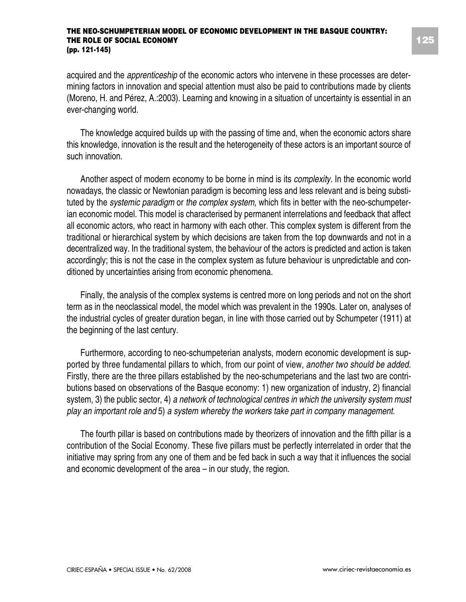acquired and the *apprenticeship* of the economic actors who intervene in these processes are determining factors in innovation and special attention must also be paid to contributions made by clients (Moreno, H. and Pérez, A.:2003). Learning and knowing in a situation of uncertainty is essential in an ever-changing world.

The knowledge acquired builds up with the passing of time and, when the economic actors share this knowledge, innovation is the result and the heterogeneity of these actors is an important source of such innovation.

Another aspect of modern economy to be borne in mind is its *complexity.* In the economic world nowadays, the classic or Newtonian paradigm is becoming less and less relevant and is being substituted by the *systemic paradigm* or *the complex system,* which fits in better with the neo-schumpeterian economic model. This model is characterised by permanent interrelations and feedback that affect all economic actors, who react in harmony with each other. This complex system is different from the traditional or hierarchical system by which decisions are taken from the top downwards and not in a decentralized way. In the traditional system, the behaviour of the actors is predicted and action is taken accordingly; this is not the case in the complex system as future behaviour is unpredictable and conditioned by uncertainties arising from economic phenomena.

Finally, the analysis of the complex systems is centred more on long periods and not on the short term as in the neoclassical model, the model which was prevalent in the 1990s. Later on, analyses of the industrial cycles of greater duration began, in line with those carried out by Schumpeter (1911) at the beginning of the last century.

Furthermore, according to neo-schumpeterian analysts, modern economic development is supported by three fundamental pillars to which, from our point of view, *another two should be added.* Firstly, there are the three pillars established by the neo-schumpeterians and the last two are contributions based on observations of the Basque economy: 1) new organization of industry, 2) financial system, 3) the public sector, 4) *a network of technological centres in which the university system must play an important role and* 5) *a system whereby the workers take part in company management.*

The fourth pillar is based on contributions made by theorizers of innovation and the fifth pillar is a contribution of the Social Economy. These five pillars must be perfectly interrelated in order that the initiative may spring from any one of them and be fed back in such a way that it influences the social and economic development of the area – in our study, the region.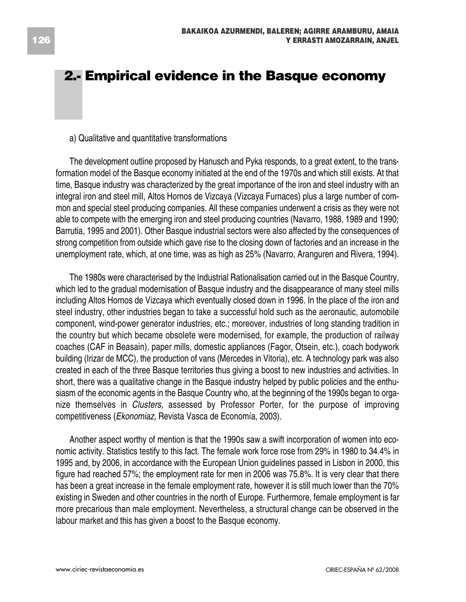# **2.- Empirical evidence in the Basque economy**

#### a) Qualitative and quantitative transformations

The development outline proposed by Hanusch and Pyka responds, to a great extent, to the transformation model of the Basque economy initiated at the end of the 1970s and which still exists. At that time, Basque industry was characterized by the great importance of the iron and steel industry with an integral iron and steel mill, Altos Hornos de Vizcaya (Vizcaya Furnaces) plus a large number of common and special steel producing companies. All these companies underwent a crisis as they were not able to compete with the emerging iron and steel producing countries (Navarro, 1988, 1989 and 1990; Barrutia, 1995 and 2001). Other Basque industrial sectors were also affected by the consequences of strong competition from outside which gave rise to the closing down of factories and an increase in the unemployment rate, which, at one time, was as high as 25% (Navarro, Aranguren and Rivera, 1994).

The 1980s were characterised by the Industrial Rationalisation carried out in the Basque Country, which led to the gradual modernisation of Basque industry and the disappearance of many steel mills including Altos Hornos de Vizcaya which eventually closed down in 1996. In the place of the iron and steel industry, other industries began to take a successful hold such as the aeronautic, automobile component, wind-power generator industries, etc.; moreover, industries of long standing tradition in the country but which became obsolete were modernised, for example, the production of railway coaches (CAF in Beasain), paper mills, domestic appliances (Fagor, Otsein, etc.), coach bodywork building (Irizar de MCC), the production of vans (Mercedes in Vitoria), etc. A technology park was also created in each of the three Basque territories thus giving a boost to new industries and activities. In short, there was a qualitative change in the Basque industry helped by public policies and the enthusiasm of the economic agents in the Basque Country who, at the beginning of the 1990s began to organize themselves in *Clusters,* assessed by Professor Porter, for the purpose of improving competitiveness (*Ekonomiaz,* Revista Vasca de Economía, 2003).

Another aspect worthy of mention is that the 1990s saw a swift incorporation of women into economic activity. Statistics testify to this fact. The female work force rose from 29% in 1980 to 34.4% in 1995 and, by 2006, in accordance with the European Union guidelines passed in Lisbon in 2000, this figure had reached 57%; the employment rate for men in 2006 was 75.8%. It is very clear that there has been a great increase in the female employment rate, however it is still much lower than the 70% existing in Sweden and other countries in the north of Europe. Furthermore, female employment is far more precarious than male employment. Nevertheless, a structural change can be observed in the labour market and this has given a boost to the Basque economy.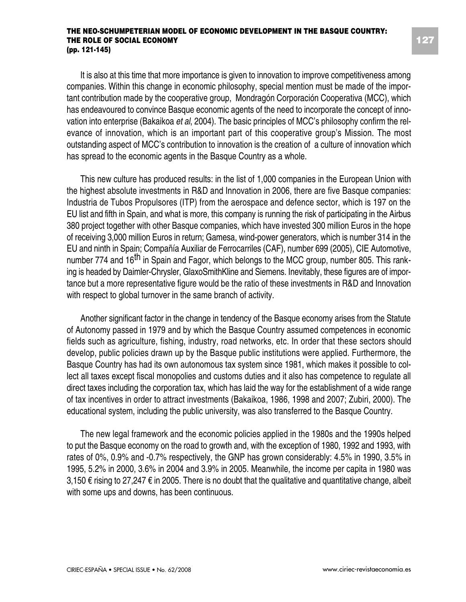It is also at this time that more importance is given to innovation to improve competitiveness among companies. Within this change in economic philosophy, special mention must be made of the important contribution made by the cooperative group, Mondragón Corporación Cooperativa (MCC), which has endeavoured to convince Basque economic agents of the need to incorporate the concept of innovation into enterprise (Bakaikoa *et al*, 2004). The basic principles of MCC's philosophy confirm the relevance of innovation, which is an important part of this cooperative group's Mission. The most outstanding aspect of MCC's contribution to innovation is the creation of a culture of innovation which has spread to the economic agents in the Basque Country as a whole.

This new culture has produced results: in the list of 1,000 companies in the European Union with the highest absolute investments in R&D and Innovation in 2006, there are five Basque companies: Industria de Tubos Propulsores (ITP) from the aerospace and defence sector, which is 197 on the EU list and fifth in Spain, and what is more, this company is running the risk of participating in the Airbus 380 project together with other Basque companies, which have invested 300 million Euros in the hope of receiving 3,000 million Euros in return; Gamesa, wind-power generators, which is number 314 in the EU and ninth in Spain; Compañía Auxiliar de Ferrocarriles (CAF), number 699 (2005), CIE Automotive, number 774 and 16<sup>th</sup> in Spain and Fagor, which belongs to the MCC group, number 805. This ranking is headed by Daimler-Chrysler, GlaxoSmithKline and Siemens. Inevitably, these figures are of importance but a more representative figure would be the ratio of these investments in R&D and Innovation with respect to global turnover in the same branch of activity.

Another significant factor in the change in tendency of the Basque economy arises from the Statute of Autonomy passed in 1979 and by which the Basque Country assumed competences in economic fields such as agriculture, fishing, industry, road networks, etc. In order that these sectors should develop, public policies drawn up by the Basque public institutions were applied. Furthermore, the Basque Country has had its own autonomous tax system since 1981, which makes it possible to collect all taxes except fiscal monopolies and customs duties and it also has competence to regulate all direct taxes including the corporation tax, which has laid the way for the establishment of a wide range of tax incentives in order to attract investments (Bakaikoa, 1986, 1998 and 2007; Zubiri, 2000). The educational system, including the public university, was also transferred to the Basque Country.

The new legal framework and the economic policies applied in the 1980s and the 1990s helped to put the Basque economy on the road to growth and, with the exception of 1980, 1992 and 1993, with rates of 0%, 0.9% and -0.7% respectively, the GNP has grown considerably: 4.5% in 1990, 3.5% in 1995, 5.2% in 2000, 3.6% in 2004 and 3.9% in 2005. Meanwhile, the income per capita in 1980 was 3,150 € rising to 27,247 € in 2005. There is no doubt that the qualitative and quantitative change, albeit with some ups and downs, has been continuous.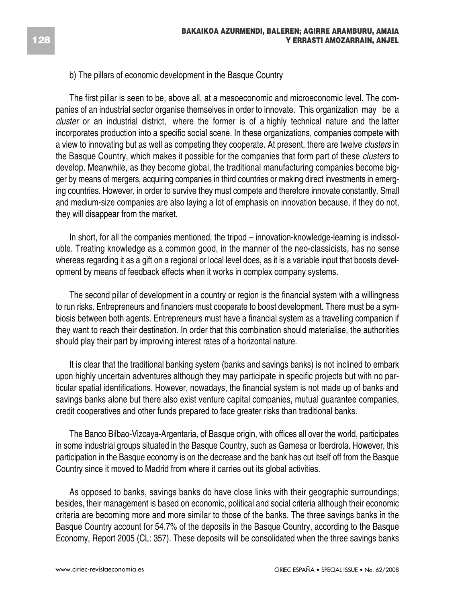#### b) The pillars of economic development in the Basque Country

The first pillar is seen to be, above all, at a mesoeconomic and microeconomic level. The companies of an industrial sector organise themselves in order to innovate. This organization may be a *cluster* or an industrial district, where the former is of a highly technical nature and the latter incorporates production into a specific social scene. In these organizations, companies compete with a view to innovating but as well as competing they cooperate. At present, there are twelve *clusters* in the Basque Country, which makes it possible for the companies that form part of these *clusters* to develop. Meanwhile, as they become global, the traditional manufacturing companies become bigger by means of mergers, acquiring companies in third countries or making direct investments in emerging countries. However, in order to survive they must compete and therefore innovate constantly. Small and medium-size companies are also laying a lot of emphasis on innovation because, if they do not, they will disappear from the market.

In short, for all the companies mentioned, the tripod – innovation-knowledge-learning is indissoluble. Treating knowledge as a common good, in the manner of the neo-classicists, has no sense whereas regarding it as a gift on a regional or local level does, as it is a variable input that boosts development by means of feedback effects when it works in complex company systems.

The second pillar of development in a country or region is the financial system with a willingness to run risks. Entrepreneurs and financiers must cooperate to boost development. There must be a symbiosis between both agents. Entrepreneurs must have a financial system as a travelling companion if they want to reach their destination. In order that this combination should materialise, the authorities should play their part by improving interest rates of a horizontal nature.

It is clear that the traditional banking system (banks and savings banks) is not inclined to embark upon highly uncertain adventures although they may participate in specific projects but with no particular spatial identifications. However, nowadays, the financial system is not made up of banks and savings banks alone but there also exist venture capital companies, mutual guarantee companies, credit cooperatives and other funds prepared to face greater risks than traditional banks.

The Banco Bilbao-Vizcaya-Argentaria, of Basque origin, with offices all over the world, participates in some industrial groups situated in the Basque Country, such as Gamesa or Iberdrola. However, this participation in the Basque economy is on the decrease and the bank has cut itself off from the Basque Country since it moved to Madrid from where it carries out its global activities.

As opposed to banks, savings banks do have close links with their geographic surroundings; besides, their management is based on economic, political and social criteria although their economic criteria are becoming more and more similar to those of the banks. The three savings banks in the Basque Country account for 54.7% of the deposits in the Basque Country, according to the Basque Economy, Report 2005 (CL: 357). These deposits will be consolidated when the three savings banks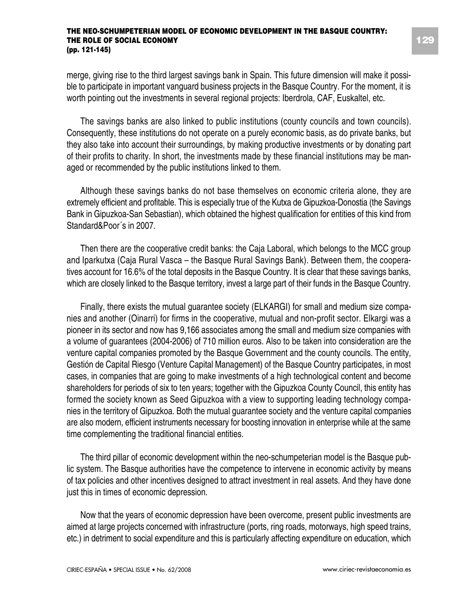merge, giving rise to the third largest savings bank in Spain. This future dimension will make it possible to participate in important vanguard business projects in the Basque Country. For the moment, it is worth pointing out the investments in several regional projects: Iberdrola, CAF, Euskaltel, etc.

The savings banks are also linked to public institutions (county councils and town councils). Consequently, these institutions do not operate on a purely economic basis, as do private banks, but they also take into account their surroundings, by making productive investments or by donating part of their profits to charity. In short, the investments made by these financial institutions may be managed or recommended by the public institutions linked to them.

Although these savings banks do not base themselves on economic criteria alone, they are extremely efficient and profitable. This is especially true of the Kutxa de Gipuzkoa-Donostia (the Savings Bank in Gipuzkoa-San Sebastian), which obtained the highest qualification for entities of this kind from Standard&Poor´s in 2007.

Then there are the cooperative credit banks: the Caja Laboral, which belongs to the MCC group and Iparkutxa (Caja Rural Vasca – the Basque Rural Savings Bank). Between them, the cooperatives account for 16.6% of the total deposits in the Basque Country. It is clear that these savings banks, which are closely linked to the Basque territory, invest a large part of their funds in the Basque Country.

Finally, there exists the mutual guarantee society (ELKARGI) for small and medium size companies and another (Oinarri) for firms in the cooperative, mutual and non-profit sector. Elkargi was a pioneer in its sector and now has 9,166 associates among the small and medium size companies with a volume of guarantees (2004-2006) of 710 million euros. Also to be taken into consideration are the venture capital companies promoted by the Basque Government and the county councils. The entity, Gestión de Capital Riesgo (Venture Capital Management) of the Basque Country participates, in most cases, in companies that are going to make investments of a high technological content and become shareholders for periods of six to ten years; together with the Gipuzkoa County Council, this entity has formed the society known as Seed Gipuzkoa with a view to supporting leading technology companies in the territory of Gipuzkoa. Both the mutual guarantee society and the venture capital companies are also modern, efficient instruments necessary for boosting innovation in enterprise while at the same time complementing the traditional financial entities.

The third pillar of economic development within the neo-schumpeterian model is the Basque public system. The Basque authorities have the competence to intervene in economic activity by means of tax policies and other incentives designed to attract investment in real assets. And they have done just this in times of economic depression.

Now that the years of economic depression have been overcome, present public investments are aimed at large projects concerned with infrastructure (ports, ring roads, motorways, high speed trains, etc.) in detriment to social expenditure and this is particularly affecting expenditure on education, which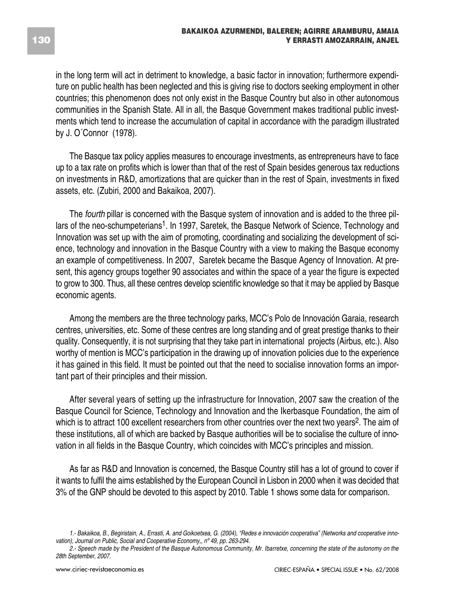in the long term will act in detriment to knowledge, a basic factor in innovation; furthermore expenditure on public health has been neglected and this is giving rise to doctors seeking employment in other countries; this phenomenon does not only exist in the Basque Country but also in other autonomous communities in the Spanish State. All in all, the Basque Government makes traditional public investments which tend to increase the accumulation of capital in accordance with the paradigm illustrated by J. O´Connor (1978).

The Basque tax policy applies measures to encourage investments, as entrepreneurs have to face up to a tax rate on profits which is lower than that of the rest of Spain besides generous tax reductions on investments in R&D, amortizations that are quicker than in the rest of Spain, investments in fixed assets, etc. (Zubiri, 2000 and Bakaikoa, 2007).

The *fourth* pillar is concerned with the Basque system of innovation and is added to the three pillars of the neo-schumpeterians1. In 1997, Saretek, the Basque Network of Science, Technology and Innovation was set up with the aim of promoting, coordinating and socializing the development of science, technology and innovation in the Basque Country with a view to making the Basque economy an example of competitiveness. In 2007, Saretek became the Basque Agency of Innovation. At present, this agency groups together 90 associates and within the space of a year the figure is expected to grow to 300. Thus, all these centres develop scientific knowledge so that it may be applied by Basque economic agents.

Among the members are the three technology parks, MCC's Polo de Innovación Garaia, research centres, universities, etc. Some of these centres are long standing and of great prestige thanks to their quality. Consequently, it is not surprising that they take part in international projects (Airbus, etc.). Also worthy of mention is MCC's participation in the drawing up of innovation policies due to the experience it has gained in this field. It must be pointed out that the need to socialise innovation forms an important part of their principles and their mission.

After several years of setting up the infrastructure for Innovation, 2007 saw the creation of the Basque Council for Science, Technology and Innovation and the Ikerbasque Foundation, the aim of which is to attract 100 excellent researchers from other countries over the next two years<sup>2</sup>. The aim of these institutions, all of which are backed by Basque authorities will be to socialise the culture of innovation in all fields in the Basque Country, which coincides with MCC's principles and mission.

As far as R&D and Innovation is concerned, the Basque Country still has a lot of ground to cover if it wants to fulfil the aims established by the European Council in Lisbon in 2000 when it was decided that 3% of the GNP should be devoted to this aspect by 2010. Table 1 shows some data for comparison.

*<sup>1.-</sup> Bakaikoa, B., Begiristain, A., Errasti, A. and Goikoetxea, G. (2004), "Redes e innovación cooperativa" (Networks and cooperative innovation), Journal on Public, Social and Cooperative Economy,, nº 49, pp. 263-294.*

*<sup>2.-</sup> Speech made by the President of the Basque Autonomous Community, Mr. Ibarretxe, concerning the state of the autonomy on the 28th September, 2007.*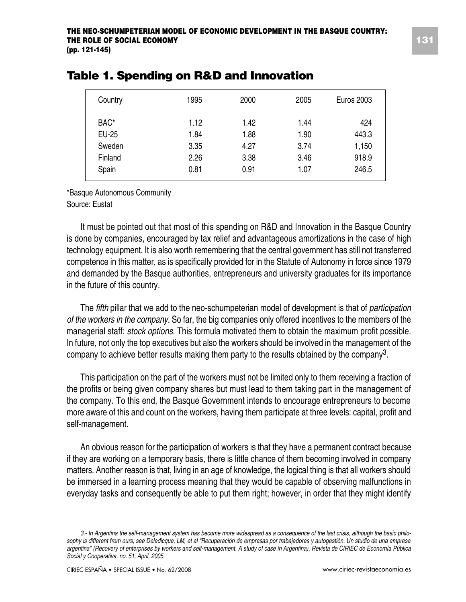| Country | 1995 | 2000 | 2005 | <b>Euros 2003</b> |
|---------|------|------|------|-------------------|
| BAC*    | 1.12 | 1.42 | 1.44 | 424               |
| EU-25   | 1.84 | 1.88 | 1.90 | 443.3             |
| Sweden  | 3.35 | 4.27 | 3.74 | 1,150             |
| Finland | 2.26 | 3.38 | 3.46 | 918.9             |
| Spain   | 0.81 | 0.91 | 1.07 | 246.5             |

### **Table 1. Spending on R&D and Innovation**

\*Basque Autonomous Community

Source: Eustat

It must be pointed out that most of this spending on R&D and Innovation in the Basque Country is done by companies, encouraged by tax relief and advantageous amortizations in the case of high technology equipment. It is also worth remembering that the central government has still not transferred competence in this matter, as is specifically provided for in the Statute of Autonomy in force since 1979 and demanded by the Basque authorities, entrepreneurs and university graduates for its importance in the future of this country.

The *fifth* pillar that we add to the neo-schumpeterian model of development is that of *participation of the workers in the company.* So far, the big companies only offered incentives to the members of the managerial staff: *stock options*. This formula motivated them to obtain the maximum profit possible. In future, not only the top executives but also the workers should be involved in the management of the company to achieve better results making them party to the results obtained by the company3.

This participation on the part of the workers must not be limited only to them receiving a fraction of the profits or being given company shares but must lead to them taking part in the management of the company. To this end, the Basque Government intends to encourage entrepreneurs to become more aware of this and count on the workers, having them participate at three levels: capital, profit and self-management.

An obvious reason for the participation of workers is that they have a permanent contract because if they are working on a temporary basis, there is little chance of them becoming involved in company matters. Another reason is that, living in an age of knowledge, the logical thing is that all workers should be immersed in a learning process meaning that they would be capable of observing malfunctions in everyday tasks and consequently be able to put them right; however, in order that they might identify

*<sup>3.-</sup> In Argentina the self-management system has become more widespread as a consequence of the last crisis, although the basic philosophy is different from ours; see Deledicque, LM, et al "Recuperación de empresas por trabajadores y autogestión. Un studio de una empresa argentina" (Recovery of enterprises by workers and self-management. A study of case in Argentina), Revista de CIRIEC de Economía Pública Social y Cooperativa, no. 51, April, 2005.*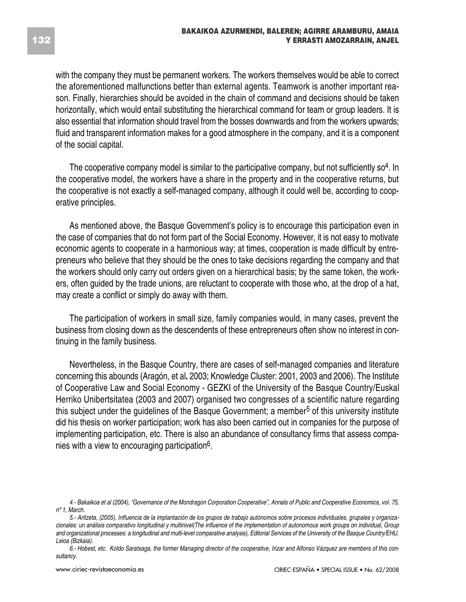with the company they must be permanent workers. The workers themselves would be able to correct the aforementioned malfunctions better than external agents. Teamwork is another important reason. Finally, hierarchies should be avoided in the chain of command and decisions should be taken horizontally, which would entail substituting the hierarchical command for team or group leaders. It is also essential that information should travel from the bosses downwards and from the workers upwards; fluid and transparent information makes for a good atmosphere in the company, and it is a component of the social capital.

The cooperative company model is similar to the participative company, but not sufficiently  $\mathsf{so}^4$ . In the cooperative model, the workers have a share in the property and in the cooperative returns, but the cooperative is not exactly a self-managed company, although it could well be, according to cooperative principles.

As mentioned above, the Basque Government's policy is to encourage this participation even in the case of companies that do not form part of the Social Economy. However, it is not easy to motivate economic agents to cooperate in a harmonious way; at times, cooperation is made difficult by entrepreneurs who believe that they should be the ones to take decisions regarding the company and that the workers should only carry out orders given on a hierarchical basis; by the same token, the workers, often guided by the trade unions, are reluctant to cooperate with those who, at the drop of a hat, may create a conflict or simply do away with them.

The participation of workers in small size, family companies would, in many cases, prevent the business from closing down as the descendents of these entrepreneurs often show no interest in continuing in the family business.

Nevertheless, in the Basque Country, there are cases of self-managed companies and literature concerning this abounds (Aragón, et al**.** 2003; Knowledge Cluster: 2001, 2003 and 2006). The Institute of Cooperative Law and Social Economy - GEZKI of the University of the Basque Country/Euskal Herriko Unibertsitatea (2003 and 2007) organised two congresses of a scientific nature regarding this subject under the quidelines of the Basque Government; a member<sup>5</sup> of this university institute did his thesis on worker participation; work has also been carried out in companies for the purpose of implementing participation, etc. There is also an abundance of consultancy firms that assess companies with a view to encouraging participation6.

- *4.- Bakaikoa et al (2004), "Governance of the Mondragon Corporation Cooperative", Annals of Public and Cooperative Economics, vol. 75, nº 1, March.*
- *5.- Aritzeta, (2005), Influencia de la implantación de los grupos de trabajo autónomos sobre procesos individuales, grupales y organizacionales: un análisis comparativo longitudinal y multinivel(The influence of the implementation of autonomous work groups on individual, Group and organizational processes: a longitudinal and multi-level comparative analysis), Editorial Services of the University of the Basque Country/EHU, Leioa (Bizkaia).*
- *6.- Hobest, etc. Koldo Saratxaga, the former Managing director of the cooperative, Irizar and Alfonso Vázquez are members of this consultancy.*

**132**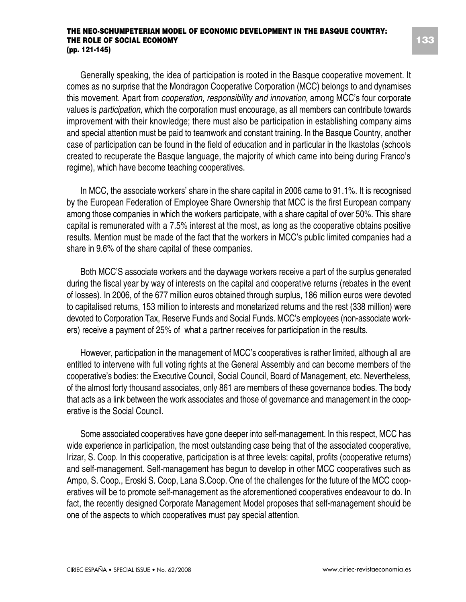Generally speaking, the idea of participation is rooted in the Basque cooperative movement. It comes as no surprise that the Mondragon Cooperative Corporation (MCC) belongs to and dynamises this movement. Apart from *cooperation, responsibility and innovation*, among MCC's four corporate values is *participation,* which the corporation must encourage, as all members can contribute towards improvement with their knowledge; there must also be participation in establishing company aims and special attention must be paid to teamwork and constant training. In the Basque Country, another case of participation can be found in the field of education and in particular in the Ikastolas (schools created to recuperate the Basque language, the majority of which came into being during Franco's regime), which have become teaching cooperatives.

In MCC, the associate workers' share in the share capital in 2006 came to 91.1%. It is recognised by the European Federation of Employee Share Ownership that MCC is the first European company among those companies in which the workers participate, with a share capital of over 50%. This share capital is remunerated with a 7.5% interest at the most, as long as the cooperative obtains positive results. Mention must be made of the fact that the workers in MCC's public limited companies had a share in 9.6% of the share capital of these companies.

Both MCC'S associate workers and the daywage workers receive a part of the surplus generated during the fiscal year by way of interests on the capital and cooperative returns (rebates in the event of losses). In 2006, of the 677 million euros obtained through surplus, 186 million euros were devoted to capitalised returns, 153 million to interests and monetarized returns and the rest (338 million) were devoted to Corporation Tax, Reserve Funds and Social Funds. MCC's employees (non-associate workers) receive a payment of 25% of what a partner receives for participation in the results.

However, participation in the management of MCC's cooperatives is rather limited, although all are entitled to intervene with full voting rights at the General Assembly and can become members of the cooperative's bodies: the Executive Council, Social Council, Board of Management, etc. Nevertheless, of the almost forty thousand associates, only 861 are members of these governance bodies. The body that acts as a link between the work associates and those of governance and management in the cooperative is the Social Council.

Some associated cooperatives have gone deeper into self-management. In this respect, MCC has wide experience in participation, the most outstanding case being that of the associated cooperative, Irizar, S. Coop. In this cooperative, participation is at three levels: capital, profits (cooperative returns) and self-management. Self-management has begun to develop in other MCC cooperatives such as Ampo, S. Coop., Eroski S. Coop, Lana S.Coop. One of the challenges for the future of the MCC cooperatives will be to promote self-management as the aforementioned cooperatives endeavour to do. In fact, the recently designed Corporate Management Model proposes that self-management should be one of the aspects to which cooperatives must pay special attention.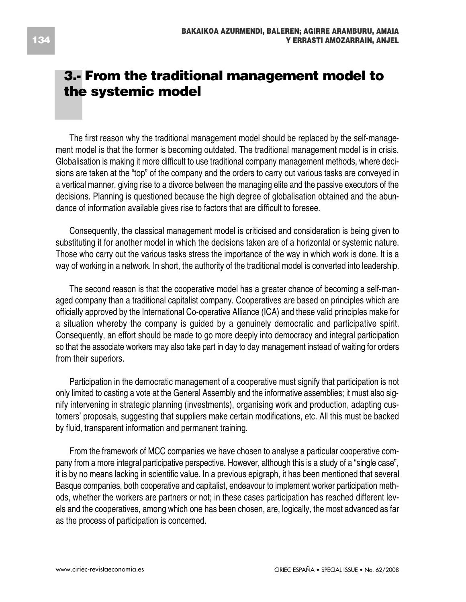# **3.- From the traditional management model to the systemic model**

The first reason why the traditional management model should be replaced by the self-management model is that the former is becoming outdated. The traditional management model is in crisis. Globalisation is making it more difficult to use traditional company management methods, where decisions are taken at the "top" of the company and the orders to carry out various tasks are conveyed in a vertical manner, giving rise to a divorce between the managing elite and the passive executors of the decisions. Planning is questioned because the high degree of globalisation obtained and the abundance of information available gives rise to factors that are difficult to foresee.

Consequently, the classical management model is criticised and consideration is being given to substituting it for another model in which the decisions taken are of a horizontal or systemic nature. Those who carry out the various tasks stress the importance of the way in which work is done. It is a way of working in a network. In short, the authority of the traditional model is converted into leadership.

The second reason is that the cooperative model has a greater chance of becoming a self-managed company than a traditional capitalist company. Cooperatives are based on principles which are officially approved by the International Co-operative Alliance (ICA) and these valid principles make for a situation whereby the company is guided by a genuinely democratic and participative spirit. Consequently, an effort should be made to go more deeply into democracy and integral participation so that the associate workers may also take part in day to day management instead of waiting for orders from their superiors.

Participation in the democratic management of a cooperative must signify that participation is not only limited to casting a vote at the General Assembly and the informative assemblies; it must also signify intervening in strategic planning (investments), organising work and production, adapting customers' proposals, suggesting that suppliers make certain modifications, etc. All this must be backed by fluid, transparent information and permanent training.

From the framework of MCC companies we have chosen to analyse a particular cooperative company from a more integral participative perspective. However, although this is a study of a "single case", it is by no means lacking in scientific value. In a previous epigraph, it has been mentioned that several Basque companies, both cooperative and capitalist, endeavour to implement worker participation methods, whether the workers are partners or not; in these cases participation has reached different levels and the cooperatives, among which one has been chosen, are, logically, the most advanced as far as the process of participation is concerned.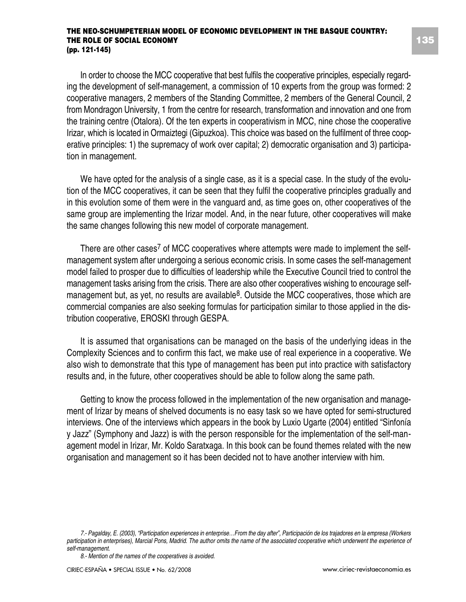In order to choose the MCC cooperative that best fulfils the cooperative principles, especially regarding the development of self-management, a commission of 10 experts from the group was formed: 2 cooperative managers, 2 members of the Standing Committee, 2 members of the General Council, 2 from Mondragon University, 1 from the centre for research, transformation and innovation and one from the training centre (Otalora). Of the ten experts in cooperativism in MCC, nine chose the cooperative Irizar, which is located in Ormaiztegi (Gipuzkoa). This choice was based on the fulfilment of three cooperative principles: 1) the supremacy of work over capital; 2) democratic organisation and 3) participation in management.

We have opted for the analysis of a single case, as it is a special case. In the study of the evolution of the MCC cooperatives, it can be seen that they fulfil the cooperative principles gradually and in this evolution some of them were in the vanguard and, as time goes on, other cooperatives of the same group are implementing the Irizar model. And, in the near future, other cooperatives will make the same changes following this new model of corporate management.

There are other cases<sup>7</sup> of MCC cooperatives where attempts were made to implement the selfmanagement system after undergoing a serious economic crisis. In some cases the self-management model failed to prosper due to difficulties of leadership while the Executive Council tried to control the management tasks arising from the crisis. There are also other cooperatives wishing to encourage selfmanagement but, as yet, no results are available<sup>8</sup>. Outside the MCC cooperatives, those which are commercial companies are also seeking formulas for participation similar to those applied in the distribution cooperative, EROSKI through GESPA.

It is assumed that organisations can be managed on the basis of the underlying ideas in the Complexity Sciences and to confirm this fact, we make use of real experience in a cooperative. We also wish to demonstrate that this type of management has been put into practice with satisfactory results and, in the future, other cooperatives should be able to follow along the same path.

Getting to know the process followed in the implementation of the new organisation and management of Irizar by means of shelved documents is no easy task so we have opted for semi-structured interviews. One of the interviews which appears in the book by Luxio Ugarte (2004) entitled "Sinfonía y Jazz" (Symphony and Jazz) is with the person responsible for the implementation of the self-management model in Irizar, Mr. Koldo Saratxaga. In this book can be found themes related with the new organisation and management so it has been decided not to have another interview with him.

*<sup>7.-</sup> Pagalday, E. (2003), "Participation experiences in enterprise…From the day after", Participación de los trajadores en la empresa (Workers participation in enterprises), Marcial Pons, Madrid. The author omits the name of the associated cooperative which underwent the experience of self-management.*

*<sup>8.-</sup> Mention of the names of the cooperatives is avoided.*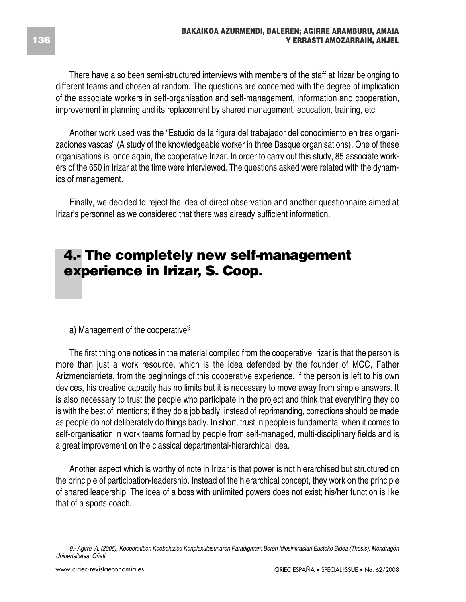There have also been semi-structured interviews with members of the staff at Irizar belonging to different teams and chosen at random. The questions are concerned with the degree of implication of the associate workers in self-organisation and self-management, information and cooperation, improvement in planning and its replacement by shared management, education, training, etc.

Another work used was the "Estudio de la figura del trabajador del conocimiento en tres organizaciones vascas" (A study of the knowledgeable worker in three Basque organisations). One of these organisations is, once again, the cooperative Irizar. In order to carry out this study, 85 associate workers of the 650 in Irizar at the time were interviewed. The questions asked were related with the dynamics of management.

Finally, we decided to reject the idea of direct observation and another questionnaire aimed at Irizar's personnel as we considered that there was already sufficient information.

## **4.- The completely new self-management experience in Irizar, S. Coop.**

a) Management of the cooperative<sup>9</sup>

The first thing one notices in the material compiled from the cooperative Irizar is that the person is more than just a work resource, which is the idea defended by the founder of MCC, Father Arizmendiarrieta, from the beginnings of this cooperative experience. If the person is left to his own devices, his creative capacity has no limits but it is necessary to move away from simple answers. It is also necessary to trust the people who participate in the project and think that everything they do is with the best of intentions; if they do a job badly, instead of reprimanding, corrections should be made as people do not deliberately do things badly. In short, trust in people is fundamental when it comes to self-organisation in work teams formed by people from self-managed, multi-disciplinary fields and is a great improvement on the classical departmental-hierarchical idea.

Another aspect which is worthy of note in Irizar is that power is not hierarchised but structured on the principle of participation-leadership. Instead of the hierarchical concept, they work on the principle of shared leadership. The idea of a boss with unlimited powers does not exist; his/her function is like that of a sports coach.

*<sup>9.-</sup> Agirre, A. (2006), Kooperatiben Koeboluzioa Konplexutasunaren Paradigman: Beren Idiosinkrasiari Eusteko Bidea (Thesis), Mondragón Unibertsitatea, Oñati.*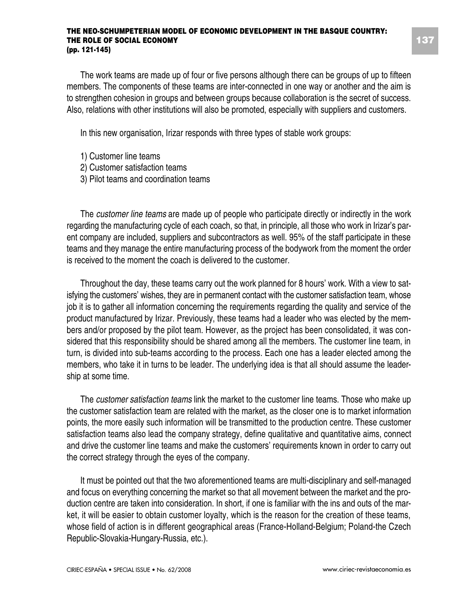The work teams are made up of four or five persons although there can be groups of up to fifteen members. The components of these teams are inter-connected in one way or another and the aim is to strengthen cohesion in groups and between groups because collaboration is the secret of success. Also, relations with other institutions will also be promoted, especially with suppliers and customers.

In this new organisation, Irizar responds with three types of stable work groups:

- 1) Customer line teams
- 2) Customer satisfaction teams
- 3) Pilot teams and coordination teams

The *customer line teams* are made up of people who participate directly or indirectly in the work regarding the manufacturing cycle of each coach, so that, in principle, all those who work in Irizar's parent company are included, suppliers and subcontractors as well. 95% of the staff participate in these teams and they manage the entire manufacturing process of the bodywork from the moment the order is received to the moment the coach is delivered to the customer.

Throughout the day, these teams carry out the work planned for 8 hours' work. With a view to satisfying the customers' wishes, they are in permanent contact with the customer satisfaction team, whose job it is to gather all information concerning the requirements regarding the quality and service of the product manufactured by Irizar. Previously, these teams had a leader who was elected by the members and/or proposed by the pilot team. However, as the project has been consolidated, it was considered that this responsibility should be shared among all the members. The customer line team, in turn, is divided into sub-teams according to the process. Each one has a leader elected among the members, who take it in turns to be leader. The underlying idea is that all should assume the leadership at some time.

The *customer satisfaction teams* link the market to the customer line teams. Those who make up the customer satisfaction team are related with the market, as the closer one is to market information points, the more easily such information will be transmitted to the production centre. These customer satisfaction teams also lead the company strategy, define qualitative and quantitative aims, connect and drive the customer line teams and make the customers' requirements known in order to carry out the correct strategy through the eyes of the company.

It must be pointed out that the two aforementioned teams are multi-disciplinary and self-managed and focus on everything concerning the market so that all movement between the market and the production centre are taken into consideration. In short, if one is familiar with the ins and outs of the market, it will be easier to obtain customer loyalty, which is the reason for the creation of these teams, whose field of action is in different geographical areas (France-Holland-Belgium; Poland-the Czech Republic-Slovakia-Hungary-Russia, etc.).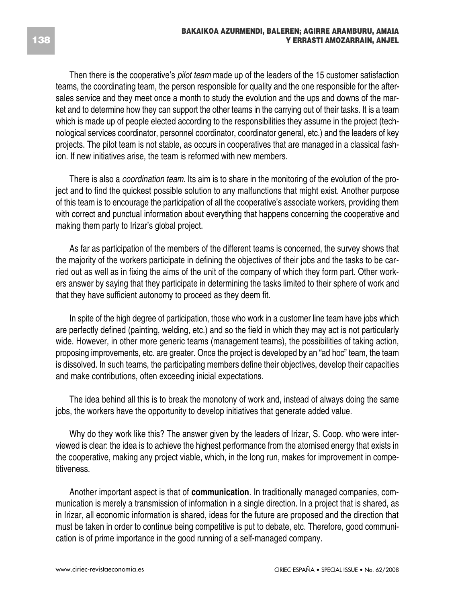Then there is the cooperative's *pilot team* made up of the leaders of the 15 customer satisfaction teams, the coordinating team, the person responsible for quality and the one responsible for the aftersales service and they meet once a month to study the evolution and the ups and downs of the market and to determine how they can support the other teams in the carrying out of their tasks. It is a team which is made up of people elected according to the responsibilities they assume in the project (technological services coordinator, personnel coordinator, coordinator general, etc.) and the leaders of key projects. The pilot team is not stable, as occurs in cooperatives that are managed in a classical fashion. If new initiatives arise, the team is reformed with new members.

There is also a *coordination team*. Its aim is to share in the monitoring of the evolution of the project and to find the quickest possible solution to any malfunctions that might exist. Another purpose of this team is to encourage the participation of all the cooperative's associate workers, providing them with correct and punctual information about everything that happens concerning the cooperative and making them party to Irizar's global project.

As far as participation of the members of the different teams is concerned, the survey shows that the majority of the workers participate in defining the objectives of their jobs and the tasks to be carried out as well as in fixing the aims of the unit of the company of which they form part. Other workers answer by saying that they participate in determining the tasks limited to their sphere of work and that they have sufficient autonomy to proceed as they deem fit.

In spite of the high degree of participation, those who work in a customer line team have jobs which are perfectly defined (painting, welding, etc.) and so the field in which they may act is not particularly wide. However, in other more generic teams (management teams), the possibilities of taking action, proposing improvements, etc. are greater. Once the project is developed by an "ad hoc" team, the team is dissolved. In such teams, the participating members define their objectives, develop their capacities and make contributions, often exceeding inicial expectations.

The idea behind all this is to break the monotony of work and, instead of always doing the same jobs, the workers have the opportunity to develop initiatives that generate added value.

Why do they work like this? The answer given by the leaders of Irizar, S. Coop. who were interviewed is clear: the idea is to achieve the highest performance from the atomised energy that exists in the cooperative, making any project viable, which, in the long run, makes for improvement in competitiveness.

Another important aspect is that of **communication**. In traditionally managed companies, communication is merely a transmission of information in a single direction. In a project that is shared, as in Irizar, all economic information is shared, ideas for the future are proposed and the direction that must be taken in order to continue being competitive is put to debate, etc. Therefore, good communication is of prime importance in the good running of a self-managed company.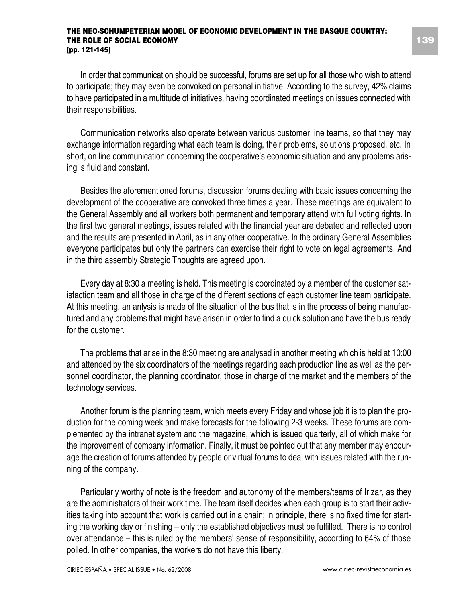In order that communication should be successful, forums are set up for all those who wish to attend to participate; they may even be convoked on personal initiative. According to the survey, 42% claims to have participated in a multitude of initiatives, having coordinated meetings on issues connected with their responsibilities.

Communication networks also operate between various customer line teams, so that they may exchange information regarding what each team is doing, their problems, solutions proposed, etc. In short, on line communication concerning the cooperative's economic situation and any problems arising is fluid and constant.

Besides the aforementioned forums, discussion forums dealing with basic issues concerning the development of the cooperative are convoked three times a year. These meetings are equivalent to the General Assembly and all workers both permanent and temporary attend with full voting rights. In the first two general meetings, issues related with the financial year are debated and reflected upon and the results are presented in April, as in any other cooperative. In the ordinary General Assemblies everyone participates but only the partners can exercise their right to vote on legal agreements. And in the third assembly Strategic Thoughts are agreed upon.

Every day at 8:30 a meeting is held. This meeting is coordinated by a member of the customer satisfaction team and all those in charge of the different sections of each customer line team participate. At this meeting, an anlysis is made of the situation of the bus that is in the process of being manufactured and any problems that might have arisen in order to find a quick solution and have the bus ready for the customer.

The problems that arise in the 8:30 meeting are analysed in another meeting which is held at 10:00 and attended by the six coordinators of the meetings regarding each production line as well as the personnel coordinator, the planning coordinator, those in charge of the market and the members of the technology services.

Another forum is the planning team, which meets every Friday and whose job it is to plan the production for the coming week and make forecasts for the following 2-3 weeks. These forums are complemented by the intranet system and the magazine, which is issued quarterly, all of which make for the improvement of company information. Finally, it must be pointed out that any member may encourage the creation of forums attended by people or virtual forums to deal with issues related with the running of the company.

Particularly worthy of note is the freedom and autonomy of the members/teams of Irizar, as they are the administrators of their work time. The team itself decides when each group is to start their activities taking into account that work is carried out in a chain; in principle, there is no fixed time for starting the working day or finishing – only the established objectives must be fulfilled. There is no control over attendance – this is ruled by the members' sense of responsibility, according to 64% of those polled. In other companies, the workers do not have this liberty.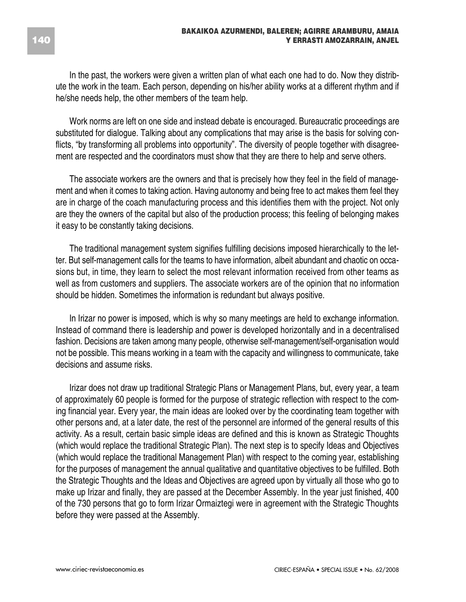In the past, the workers were given a written plan of what each one had to do. Now they distribute the work in the team. Each person, depending on his/her ability works at a different rhythm and if he/she needs help, the other members of the team help.

Work norms are left on one side and instead debate is encouraged. Bureaucratic proceedings are substituted for dialogue. Talking about any complications that may arise is the basis for solving conflicts, "by transforming all problems into opportunity". The diversity of people together with disagreement are respected and the coordinators must show that they are there to help and serve others.

The associate workers are the owners and that is precisely how they feel in the field of management and when it comes to taking action. Having autonomy and being free to act makes them feel they are in charge of the coach manufacturing process and this identifies them with the project. Not only are they the owners of the capital but also of the production process; this feeling of belonging makes it easy to be constantly taking decisions.

The traditional management system signifies fulfilling decisions imposed hierarchically to the letter. But self-management calls for the teams to have information, albeit abundant and chaotic on occasions but, in time, they learn to select the most relevant information received from other teams as well as from customers and suppliers. The associate workers are of the opinion that no information should be hidden. Sometimes the information is redundant but always positive.

In Irizar no power is imposed, which is why so many meetings are held to exchange information. Instead of command there is leadership and power is developed horizontally and in a decentralised fashion. Decisions are taken among many people, otherwise self-management/self-organisation would not be possible. This means working in a team with the capacity and willingness to communicate, take decisions and assume risks.

Irizar does not draw up traditional Strategic Plans or Management Plans, but, every year, a team of approximately 60 people is formed for the purpose of strategic reflection with respect to the coming financial year. Every year, the main ideas are looked over by the coordinating team together with other persons and, at a later date, the rest of the personnel are informed of the general results of this activity. As a result, certain basic simple ideas are defined and this is known as Strategic Thoughts (which would replace the traditional Strategic Plan). The next step is to specify Ideas and Objectives (which would replace the traditional Management Plan) with respect to the coming year, establishing for the purposes of management the annual qualitative and quantitative objectives to be fulfilled. Both the Strategic Thoughts and the Ideas and Objectives are agreed upon by virtually all those who go to make up Irizar and finally, they are passed at the December Assembly. In the year just finished, 400 of the 730 persons that go to form Irizar Ormaiztegi were in agreement with the Strategic Thoughts before they were passed at the Assembly.

#### **140**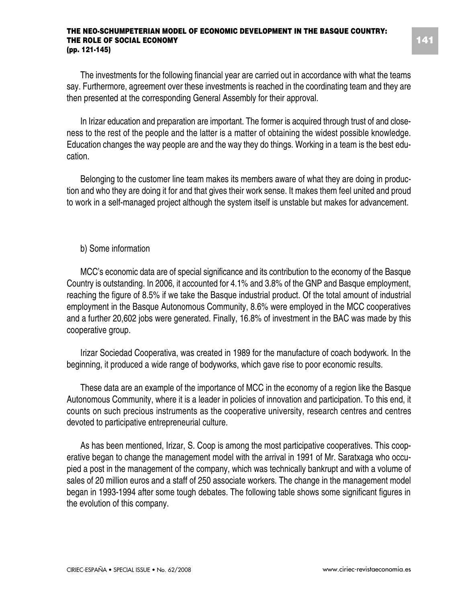The investments for the following financial year are carried out in accordance with what the teams say. Furthermore, agreement over these investments is reached in the coordinating team and they are then presented at the corresponding General Assembly for their approval.

In Irizar education and preparation are important. The former is acquired through trust of and closeness to the rest of the people and the latter is a matter of obtaining the widest possible knowledge. Education changes the way people are and the way they do things. Working in a team is the best education.

Belonging to the customer line team makes its members aware of what they are doing in production and who they are doing it for and that gives their work sense. It makes them feel united and proud to work in a self-managed project although the system itself is unstable but makes for advancement.

#### b) Some information

MCC's economic data are of special significance and its contribution to the economy of the Basque Country is outstanding. In 2006, it accounted for 4.1% and 3.8% of the GNP and Basque employment, reaching the figure of 8.5% if we take the Basque industrial product. Of the total amount of industrial employment in the Basque Autonomous Community, 8.6% were employed in the MCC cooperatives and a further 20,602 jobs were generated. Finally, 16.8% of investment in the BAC was made by this cooperative group.

Irizar Sociedad Cooperativa, was created in 1989 for the manufacture of coach bodywork. In the beginning, it produced a wide range of bodyworks, which gave rise to poor economic results.

These data are an example of the importance of MCC in the economy of a region like the Basque Autonomous Community, where it is a leader in policies of innovation and participation. To this end, it counts on such precious instruments as the cooperative university, research centres and centres devoted to participative entrepreneurial culture.

As has been mentioned, Irizar, S. Coop is among the most participative cooperatives. This cooperative began to change the management model with the arrival in 1991 of Mr. Saratxaga who occupied a post in the management of the company, which was technically bankrupt and with a volume of sales of 20 million euros and a staff of 250 associate workers. The change in the management model began in 1993-1994 after some tough debates. The following table shows some significant figures in the evolution of this company.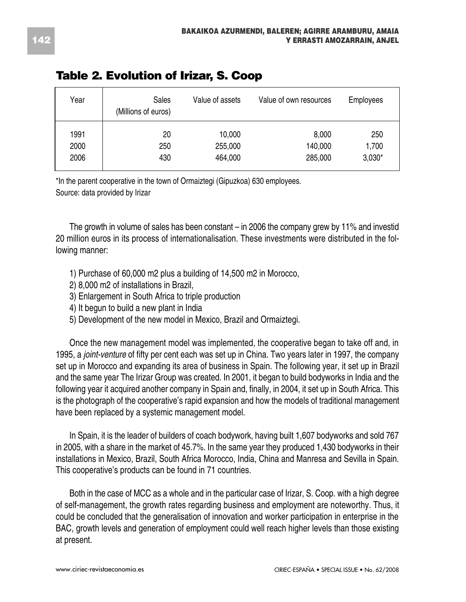| Year | Sales<br>(Millions of euros) | Value of assets | Value of own resources | Employees |
|------|------------------------------|-----------------|------------------------|-----------|
| 1991 | 20                           | 10,000          | 8,000                  | 250       |
| 2000 | 250                          | 255,000         | 140,000                | 1,700     |
| 2006 | 430                          | 464,000         | 285,000                | $3,030*$  |

### **Table 2. Evolution of Irizar, S. Coop**

\*In the parent cooperative in the town of Ormaiztegi (Gipuzkoa) 630 employees. Source: data provided by Irizar

The growth in volume of sales has been constant – in 2006 the company grew by 11% and investid 20 million euros in its process of internationalisation. These investments were distributed in the following manner:

- 1) Purchase of 60,000 m2 plus a building of 14,500 m2 in Morocco,
- 2) 8,000 m2 of installations in Brazil,
- 3) Enlargement in South Africa to triple production
- 4) It begun to build a new plant in India
- 5) Development of the new model in Mexico, Brazil and Ormaiztegi.

Once the new management model was implemented, the cooperative began to take off and, in 1995, a *joint-venture* of fifty per cent each was set up in China. Two years later in 1997, the company set up in Morocco and expanding its area of business in Spain. The following year, it set up in Brazil and the same year The Irizar Group was created. In 2001, it began to build bodyworks in India and the following year it acquired another company in Spain and, finally, in 2004, it set up in South Africa. This is the photograph of the cooperative's rapid expansion and how the models of traditional management have been replaced by a systemic management model.

In Spain, it is the leader of builders of coach bodywork, having built 1,607 bodyworks and sold 767 in 2005, with a share in the market of 45.7%. In the same year they produced 1,430 bodyworks in their installations in Mexico, Brazil, South Africa Morocco, India, China and Manresa and Sevilla in Spain. This cooperative's products can be found in 71 countries.

Both in the case of MCC as a whole and in the particular case of Irizar, S. Coop. with a high degree of self-management, the growth rates regarding business and employment are noteworthy. Thus, it could be concluded that the generalisation of innovation and worker participation in enterprise in the BAC, growth levels and generation of employment could well reach higher levels than those existing at present.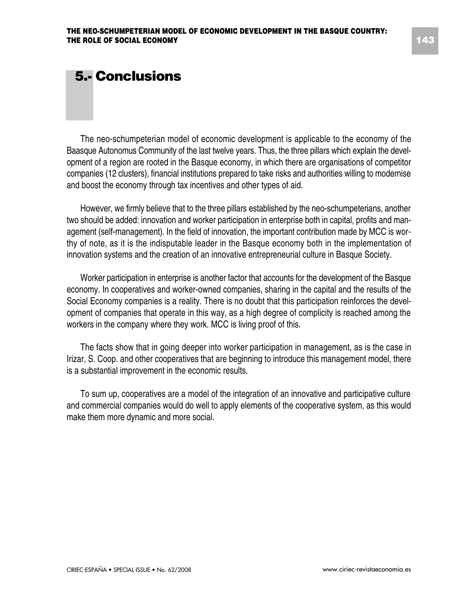### **5.- Conclusions**

The neo-schumpeterian model of economic development is applicable to the economy of the Baasque Autonomus Community of the last twelve years. Thus, the three pillars which explain the development of a region are rooted in the Basque economy, in which there are organisations of competitor companies (12 clusters), financial institutions prepared to take risks and authorities willing to modernise and boost the economy through tax incentives and other types of aid.

However, we firmly believe that to the three pillars established by the neo-schumpeterians, another two should be added: innovation and worker participation in enterprise both in capital, profits and management (self-management). In the field of innovation, the important contribution made by MCC is worthy of note, as it is the indisputable leader in the Basque economy both in the implementation of innovation systems and the creation of an innovative entrepreneurial culture in Basque Society.

Worker participation in enterprise is another factor that accounts for the development of the Basque economy. In cooperatives and worker-owned companies, sharing in the capital and the results of the Social Economy companies is a reality. There is no doubt that this participation reinforces the development of companies that operate in this way, as a high degree of complicity is reached among the workers in the company where they work. MCC is living proof of this.

The facts show that in going deeper into worker participation in management, as is the case in Irizar, S. Coop. and other cooperatives that are beginning to introduce this management model, there is a substantial improvement in the economic results.

To sum up, cooperatives are a model of the integration of an innovative and participative culture and commercial companies would do well to apply elements of the cooperative system, as this would make them more dynamic and more social.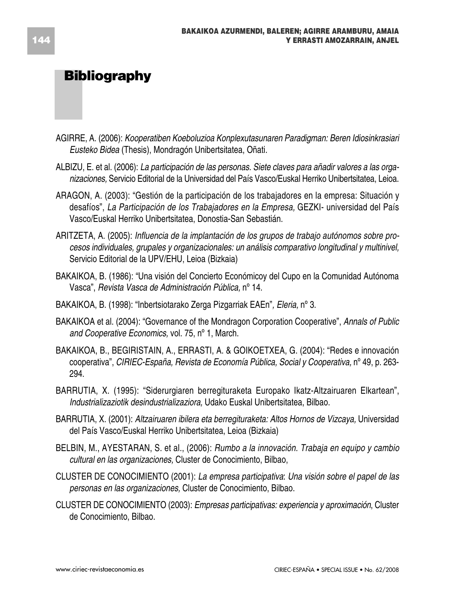### **Bibliography**

- AGIRRE, A. (2006): *Kooperatiben Koeboluzioa Konplexutasunaren Paradigman: Beren Idiosinkrasiari Eusteko Bidea* (Thesis), Mondragón Unibertsitatea, Oñati.
- ALBIZU, E. et al. (2006): *La participación de las personas. Siete claves para añadir valores a las organizaciones,* Servicio Editorial de la Universidad del País Vasco/Euskal Herriko Unibertsitatea, Leioa.
- ARAGON, A. (2003): "Gestión de la participación de los trabajadores en la empresa: Situación y desafíos", *La Participación de los Trabajadores en la Empresa,* GEZKI- universidad del País Vasco/Euskal Herriko Unibertsitatea, Donostia-San Sebastián.
- ARITZETA, A. (2005): *Influencia de la implantación de los grupos de trabajo autónomos sobre procesos individuales, grupales y organizacionales: un análisis comparativo longitudinal y multinivel,* Servicio Editorial de la UPV/EHU, Leioa (Bizkaia)
- BAKAIKOA, B. (1986): "Una visión del Concierto Económicoy del Cupo en la Comunidad Autónoma Vasca", *Revista Vasca de Administración Pública,* nº 14.
- BAKAIKOA, B. (1998): "Inbertsiotarako Zerga Pizgarriak EAEn"*, Eleria,* nº 3.
- BAKAIKOA et al. (2004): "Governance of the Mondragon Corporation Cooperative", *Annals of Public and Cooperative Economics,* vol. 75, nº 1, March.
- BAKAIKOA, B., BEGIRISTAIN, A., ERRASTI, A. & GOIKOETXEA, G. (2004): "Redes e innovación cooperativa", *CIRIEC-España, Revista de Economía Pública, Social y Cooperativa,* nº 49, p. 263- 294.
- BARRUTIA, X. (1995): "Siderurgiaren berregituraketa Europako Ikatz-Altzairuaren Elkartean", *Industrializaziotik desindustrializaziora,* Udako Euskal Unibertsitatea, Bilbao.
- BARRUTIA, X. (2001): *Altzairuaren ibilera eta berregituraketa: Altos Hornos de Vizcaya,* Universidad del País Vasco/Euskal Herriko Unibertsitatea, Leioa (Bizkaia)
- BELBIN, M., AYESTARAN, S. et al., (2006): *Rumbo a la innovación. Trabaja en equipo y cambio cultural en las organizaciones,* Cluster de Conocimiento, Bilbao,
- CLUSTER DE CONOCIMIENTO (2001): *La empresa participativa*: *Una visión sobre el papel de las personas en las organizaciones,* Cluster de Conocimiento, Bilbao.
- CLUSTER DE CONOCIMIENTO (2003): *Empresas participativas: experiencia y aproximación*, Cluster de Conocimiento, Bilbao.